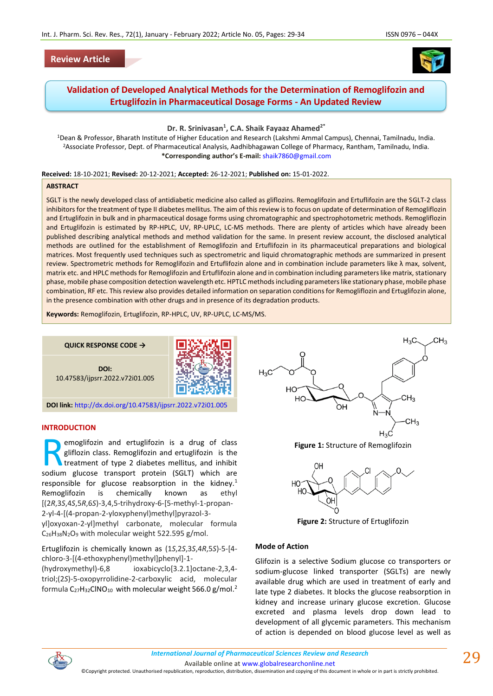# **Review Article**



# **Validation of Developed Analytical Methods for the Determination of Remoglifozin and Ertuglifozin in Pharmaceutical Dosage Forms - An Updated Review**

**Dr. R. Srinivasan<sup>1</sup> , C.A. Shaik Fayaaz Ahamed2\***

<sup>1</sup>Dean & Professor, Bharath Institute of Higher Education and Research (Lakshmi Ammal Campus), Chennai, Tamilnadu, India. <sup>2</sup>Associate Professor, Dept. of Pharmaceutical Analysis, Aadhibhagawan College of Pharmacy, Rantham, Tamilnadu, India. **\*Corresponding author's E-mail:** [shaik7860@gmail.com](mailto:shaik7860@gmail.com)

**Received:** 18-10-2021; **Revised:** 20-12-2021; **Accepted:** 26-12-2021; **Published on:** 15-01-2022.

### **ABSTRACT**

SGLT is the newly developed class of antidiabetic medicine also called as gliflozins. Remoglifozin and Ertuflifozin are the SGLT-2 class inhibitors for the treatment of type II diabetes mellitus. The aim of this review is to focus on update of determination of Remogliflozin and Ertuglifozin in bulk and in pharmaceutical dosage forms using chromatographic and spectrophotometric methods. Remogliflozin and Ertuglifozin is estimated by RP-HPLC, UV, RP-UPLC, LC-MS methods. There are plenty of articles which have already been published describing analytical methods and method validation for the same. In present review account, the disclosed analytical methods are outlined for the establishment of Remoglifozin and Ertuflifozin in its pharmaceutical preparations and biological matrices. Most frequently used techniques such as spectrometric and liquid chromatographic methods are summarized in present review. Spectrometric methods for Remoglifozin and Ertuflifozin alone and in combination include parameters like λ max, solvent, matrix etc. and HPLC methods for Remoglifozin and Ertuflifozin alone and in combination including parameters like matrix, stationary phase, mobile phase composition detection wavelength etc. HPTLC methods including parameters like stationary phase, mobile phase combination, RF etc. This review also provides detailed information on separation conditions for Remogliflozin and Ertuglifozin alone, in the presence combination with other drugs and in presence of its degradation products.

**Keywords:** Remoglifozin, Ertuglifozin, RP-HPLC, UV, RP-UPLC, LC-MS/MS.

**QUICK RESPONSE CODE →**





**DOI link:** <http://dx.doi.org/10.47583/ijpsrr.2022.v72i01.005>

### **INTRODUCTION**

emoglifozin and ertuglifozin is a drug of class gliflozin class. Remoglifozin and ertuglifozin is the treatment of type 2 diabetes mellitus, and inhibit **Solution** enterprise in a dertuglifozin is a drug of class gliflozin class. Remoglifozin and ertuglifozin is the treatment of type 2 diabetes mellitus, and inhibit sodium glucose transport protein (SGLT) which are responsible for glucose reabsorption in the kidney.<sup>1</sup> Remoglifozin is chemically known as ethyl [(2*R*,3*S*,4*S*,5*R*,6*S*)-3,4,5-trihydroxy-6-[5-methyl-1-propan-2-yl-4-[(4-propan-2-yloxyphenyl)methyl]pyrazol-3 yl]oxyoxan-2-yl]methyl carbonate, molecular formula C26H38N2O<sup>9</sup> with molecular weight 522.595 g/mol.

Ertuglifozin is chemically known as (1*S*,2*S*,3*S*,4*R*,5*S*)-5-[4 chloro-3-[(4-ethoxyphenyl)methyl]phenyl]-1-

(hydroxymethyl)-6,8 ioxabicyclo[3.2.1]octane-2,3,4 triol;(2*S*)-5-oxopyrrolidine-2-carboxylic acid, molecular formula C<sub>27</sub>H<sub>32</sub>ClNO<sub>10</sub> with molecular weight 566.0 g/mol.<sup>2</sup>



**Figure 1:** Structure of Remoglifozin



**Figure 2:** Structure of Ertuglifozin

### **Mode of Action**

Glifozin is a selective Sodium glucose co transporters or sodium-glucose linked transporter (SGLTs) are newly available drug which are used in treatment of early and late type 2 diabetes. It blocks the glucose reabsorption in kidney and increase urinary glucose excretion. Glucose excreted and plasma levels drop down lead to development of all glycemic parameters. This mechanism of action is depended on blood glucose level as well as



Available online a[t www.globalresearchonline.net](http://www.globalresearchonline.net/)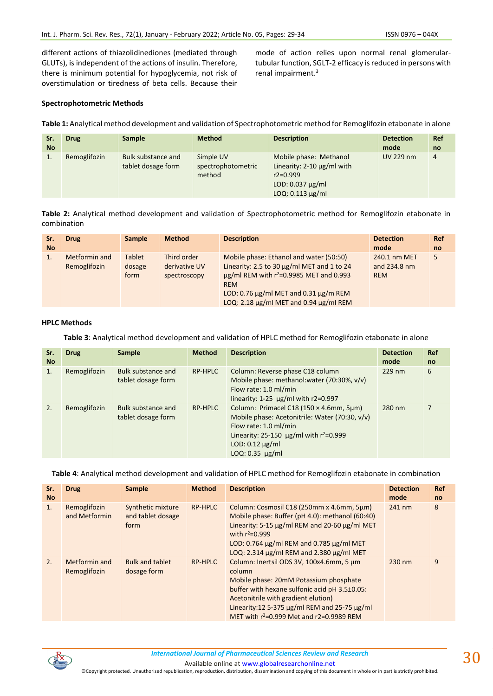different actions of thiazolidinediones (mediated through GLUTs), is independent of the actions of insulin. Therefore, there is minimum potential for hypoglycemia, not risk of overstimulation or tiredness of beta cells. Because their

mode of action relies upon normal renal glomerulartubular function, SGLT-2 efficacy is reduced in persons with renal impairment.<sup>3</sup>

# **Spectrophotometric Methods**

**Table 1:** Analytical method development and validation of Spectrophotometric method for Remoglifozin etabonate in alone

| Sr.<br><b>No</b> | <b>Drug</b>  | <b>Sample</b>                                   | <b>Method</b>                             | <b>Description</b>                                                                                                          | <b>Detection</b><br>mode | <b>Ref</b><br>no |
|------------------|--------------|-------------------------------------------------|-------------------------------------------|-----------------------------------------------------------------------------------------------------------------------------|--------------------------|------------------|
|                  | Remoglifozin | <b>Bulk substance and</b><br>tablet dosage form | Simple UV<br>spectrophotometric<br>method | Mobile phase: Methanol<br>Linearity: $2-10 \mu g/ml$ with<br>$r2 = 0.999$<br>LOD: $0.037 \mu g/ml$<br>$LOQ: 0.113 \mu g/ml$ | <b>UV 229 nm</b>         | 4                |

**Table 2:** Analytical method development and validation of Spectrophotometric method for Remoglifozin etabonate in combination

| Sr.<br><b>No</b> | <b>Drug</b>                   | <b>Sample</b>                   | <b>Method</b>                                | <b>Description</b>                                                                                                                                                                                                                                           | <b>Detection</b><br>mode                   | <b>Ref</b><br><sub>no</sub> |
|------------------|-------------------------------|---------------------------------|----------------------------------------------|--------------------------------------------------------------------------------------------------------------------------------------------------------------------------------------------------------------------------------------------------------------|--------------------------------------------|-----------------------------|
|                  | Metformin and<br>Remoglifozin | <b>Tablet</b><br>dosage<br>form | Third order<br>derivative UV<br>spectroscopy | Mobile phase: Ethanol and water (50:50)<br>Linearity: 2.5 to 30 µg/ml MET and 1 to 24<br>$\mu$ g/ml REM with r <sup>2</sup> =0.9985 MET and 0.993<br><b>REM</b><br>LOD: 0.76 $\mu$ g/ml MET and 0.31 $\mu$ g/m REM<br>LOQ: 2.18 µg/ml MET and 0.94 µg/ml REM | 240.1 nm MET<br>and 234.8 nm<br><b>REM</b> | 5                           |

### **HPLC Methods**

**Table 3**: Analytical method development and validation of HPLC method for Remoglifozin etabonate in alone

| Sr.<br><b>No</b> | <b>Drug</b>  | <b>Sample</b>                            | <b>Method</b> | <b>Description</b>                                                                                                                                                                                                         | <b>Detection</b><br>mode | Ref<br>no |
|------------------|--------------|------------------------------------------|---------------|----------------------------------------------------------------------------------------------------------------------------------------------------------------------------------------------------------------------------|--------------------------|-----------|
|                  | Remoglifozin | Bulk substance and<br>tablet dosage form | RP-HPLC       | Column: Reverse phase C18 column<br>Mobile phase: methanol: water (70:30%, v/v)<br>Flow rate: 1.0 ml/min<br>linearity: 1-25 $\mu$ g/ml with r2=0.997                                                                       | $229$ nm                 | 6         |
| 2.               | Remoglifozin | Bulk substance and<br>tablet dosage form | RP-HPLC       | Column: Primacel C18 (150 × 4.6mm, 5µm)<br>Mobile phase: Acetonitrile: Water (70:30, v/v)<br>Flow rate: 1.0 ml/min<br>Linearity: 25-150 $\mu$ g/ml with r <sup>2</sup> =0.999<br>$LOD: 0.12 \mu g/ml$<br>$LOQ: 0.35$ µg/ml | 280 nm                   |           |

**Table 4**: Analytical method development and validation of HPLC method for Remoglifozin etabonate in combination

| Sr.<br><b>No</b> | <b>Drug</b>                   | <b>Sample</b>                                  | <b>Method</b> | <b>Description</b>                                                                                                                                                                                                                                                                                   | <b>Detection</b><br>mode | <b>Ref</b><br>no |
|------------------|-------------------------------|------------------------------------------------|---------------|------------------------------------------------------------------------------------------------------------------------------------------------------------------------------------------------------------------------------------------------------------------------------------------------------|--------------------------|------------------|
| $\mathbf{1}$ .   | Remoglifozin<br>and Metformin | Synthetic mixture<br>and tablet dosage<br>form | RP-HPLC       | Column: Cosmosil C18 (250mm x 4.6mm, 5µm)<br>Mobile phase: Buffer (pH 4.0): methanol (60:40)<br>Linearity: 5-15 µg/ml REM and 20-60 µg/ml MET<br>with $r^2 = 0.999$<br>LOD: 0.764 µg/ml REM and 0.785 µg/ml MET<br>LOQ: 2.314 µg/ml REM and 2.380 µg/ml MET                                          | 241 nm                   | 8                |
| 2.               | Metformin and<br>Remoglifozin | <b>Bulk and tablet</b><br>dosage form          | RP-HPLC       | Column: Inertsil ODS 3V, 100x4.6mm, 5 um<br>column<br>Mobile phase: 20mM Potassium phosphate<br>buffer with hexane sulfonic acid pH 3.5±0.05:<br>Acetonitrile with gradient elution)<br>Linearity: 12 5-375 $\mu$ g/ml REM and 25-75 $\mu$ g/ml<br>MET with $r^2 = 0.999$ Met and $r^2 = 0.9989$ REM | 230 nm                   | 9                |



Available online a[t www.globalresearchonline.net](http://www.globalresearchonline.net/)

©Copyright protected. Unauthorised republication, reproduction, distribution, dissemination and copying of this document in whole or in part is strictly prohibited.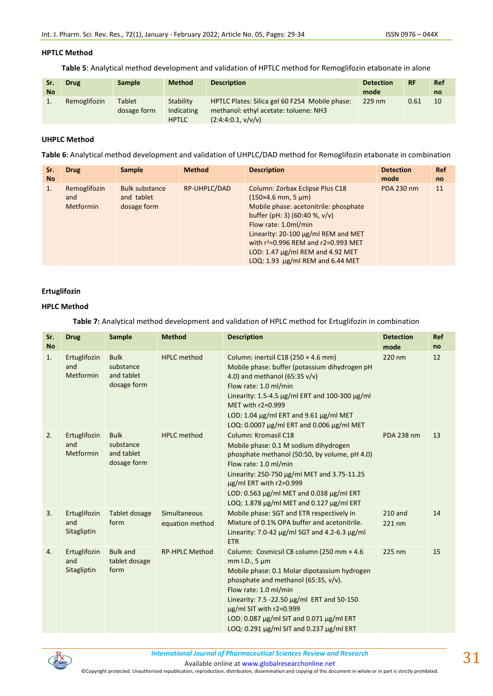### **HPTLC Method**

**Table 5**: Analytical method development and validation of HPTLC method for Remoglifozin etabonate in alone

| Sr.<br><b>No</b> | <b>Drug</b>  | <b>Sample</b>                | <b>Method</b>                           | <b>Description</b>                                                                                            | <b>Detection</b><br>mode | <b>RF</b> | <b>Ref</b><br>no |
|------------------|--------------|------------------------------|-----------------------------------------|---------------------------------------------------------------------------------------------------------------|--------------------------|-----------|------------------|
|                  | Remoglifozin | <b>Tablet</b><br>dosage form | Stability<br>Indicating<br><b>HPTLC</b> | HPTLC Plates: Silica gel 60 F254 Mobile phase:<br>methanol: ethyl acetate: toluene: NH3<br>(2:4:4:0.1, v/v/v) | $229$ nm                 | 0.61      | 10               |

# **UHPLC Method**

**Table 6**: Analytical method development and validation of UHPLC/DAD method for Remoglifozin etabonate in combination

| Sr.<br><b>No</b> | <b>Drug</b>                             | <b>Sample</b>                                      | <b>Method</b> | <b>Description</b>                                                                                                                                                                                                                                                                                                                 | <b>Detection</b><br>mode | <b>Ref</b><br><sub>no</sub> |
|------------------|-----------------------------------------|----------------------------------------------------|---------------|------------------------------------------------------------------------------------------------------------------------------------------------------------------------------------------------------------------------------------------------------------------------------------------------------------------------------------|--------------------------|-----------------------------|
| 1.               | Remoglifozin<br>and<br><b>Metformin</b> | <b>Bulk substance</b><br>and tablet<br>dosage form | RP-UHPLC/DAD  | Column: Zorbax Eclipse Plus C18<br>$(150\times4.6$ mm, 5 $\mu$ m)<br>Mobile phase: acetonitrile: phosphate<br>buffer (pH: 3) $(60:40 %, v/v)$<br>Flow rate: 1.0ml/min<br>Linearity: 20-100 µg/ml REM and MET<br>with $r^2$ =0.996 REM and $r^2$ =0.993 MET<br>LOD: 1.47 µg/ml REM and 4.92 MET<br>LOQ: 1.93 µg/ml REM and 6.44 MET | PDA 230 nm               | 11                          |

# **Ertuglifozin**

# **HPLC Method**

**Table 7:** Analytical method development and validation of HPLC method for Ertuglifozin in combination

| Sr.<br><b>No</b> | <b>Drug</b>                             | Sample                                                | <b>Method</b>                   | <b>Description</b>                                                                                                                                                                                                                                                                                                                                    | <b>Detection</b><br>mode | Ref<br>no |
|------------------|-----------------------------------------|-------------------------------------------------------|---------------------------------|-------------------------------------------------------------------------------------------------------------------------------------------------------------------------------------------------------------------------------------------------------------------------------------------------------------------------------------------------------|--------------------------|-----------|
| 1.               | Ertuglifozin<br>and<br>Metformin        | <b>Bulk</b><br>substance<br>and tablet<br>dosage form | <b>HPLC</b> method              | Column: inertsil C18 (250 $\times$ 4.6 mm)<br>Mobile phase: buffer (potassium dihydrogen pH<br>4.0) and methanol $(65:35 v/v)$<br>Flow rate: 1.0 ml/min<br>Linearity: 1.5-4.5 μg/ml ERT and 100-300 μg/ml<br>MET with r2=0.999<br>LOD: 1.04 µg/ml ERT and 9.61 µg/ml MET<br>LOQ: 0.0007 µg/ml ERT and 0.006 µg/ml MET                                 | 220 nm                   | 12        |
| 2.               | Ertuglifozin<br>and<br><b>Metformin</b> | <b>Bulk</b><br>substance<br>and tablet<br>dosage form | <b>HPLC</b> method              | Column: Kromasil C18<br>Mobile phase: 0.1 M sodium dihydrogen<br>phosphate methanol (50:50, by volume, pH 4.0)<br>Flow rate: 1.0 ml/min<br>Linearity: 250-750 µg/ml MET and 3.75-11.25<br>$\mu$ g/ml ERT with r2=0.999<br>LOD: 0.563 µg/ml MET and 0.038 µg/ml ERT<br>LOQ: 1.878 µg/ml MET and 0.127 µg/ml ERT                                        | <b>PDA 238 nm</b>        | 13        |
| 3.               | Ertuglifozin<br>and<br>Sitagliptin      | Tablet dosage<br>form                                 | Simultaneous<br>equation method | Mobile phase: SGT and ETR respectively in<br>Mixture of 0.1% OPA buffer and acetonitrile.<br>Linearity: 7.0-42 $\mu$ g/ml SGT and 4.2-6.3 $\mu$ g/ml<br><b>ETR</b>                                                                                                                                                                                    | 210 and<br>$221$ nm      | 14        |
| 4.               | Ertuglifozin<br>and<br>Sitagliptin      | <b>Bulk and</b><br>tablet dosage<br>form              | <b>RP-HPLC Method</b>           | Column: Cosmicsil C8 column (250 mm × 4.6<br>$mm$ I.D., 5 $µm$<br>Mobile phase: 0.1 Molar dipotassium hydrogen<br>phosphate and methanol (65:35, v/v).<br>Flow rate: 1.0 ml/min<br>Linearity: 7.5 -22.50 µg/ml ERT and 50-150<br>$\mu$ g/ml SIT with r2=0.999<br>LOD: 0.087 µg/ml SIT and 0.071 µg/ml ERT<br>LOQ: 0.291 µg/ml SIT and 0.237 µg/ml ERT | 225 nm                   | 15        |



*International Journal of Pharmaceutical Sciences Review and Research International Journal of Pharmaceutical Sciences Review and Research*

Available online a[t www.globalresearchonline.net](http://www.globalresearchonline.net/)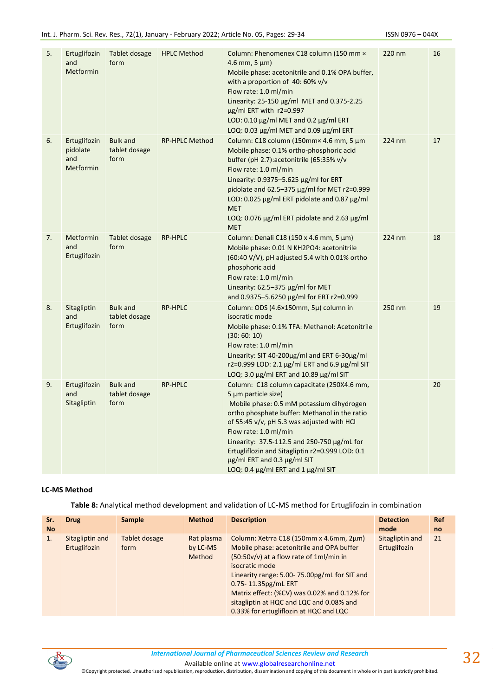| 5. | Ertuglifozin<br>and<br>Metformin                    | Tablet dosage<br>form                    | <b>HPLC Method</b>    | Column: Phenomenex C18 column (150 mm ×<br>$4.6$ mm, $5 \mu m$ )<br>Mobile phase: acetonitrile and 0.1% OPA buffer,<br>with a proportion of 40: 60% v/v<br>Flow rate: 1.0 ml/min<br>Linearity: 25-150 µg/ml MET and 0.375-2.25<br>µg/ml ERT with r2=0.997<br>LOD: 0.10 µg/ml MET and 0.2 µg/ml ERT<br>LOQ: 0.03 µg/ml MET and 0.09 µg/ml ERT                                                                  | 220 nm | 16 |
|----|-----------------------------------------------------|------------------------------------------|-----------------------|---------------------------------------------------------------------------------------------------------------------------------------------------------------------------------------------------------------------------------------------------------------------------------------------------------------------------------------------------------------------------------------------------------------|--------|----|
| 6. | Ertuglifozin<br>pidolate<br>and<br><b>Metformin</b> | <b>Bulk and</b><br>tablet dosage<br>form | <b>RP-HPLC Method</b> | Column: C18 column (150mm× 4.6 mm, 5 µm<br>Mobile phase: 0.1% ortho-phosphoric acid<br>buffer (pH 2.7):acetonitrile (65:35% v/v<br>Flow rate: 1.0 ml/min<br>Linearity: 0.9375-5.625 µg/ml for ERT<br>pidolate and 62.5-375 µg/ml for MET r2=0.999<br>LOD: 0.025 µg/ml ERT pidolate and 0.87 µg/ml<br><b>MET</b><br>LOQ: 0.076 µg/ml ERT pidolate and 2.63 µg/ml<br><b>MET</b>                                 | 224 nm | 17 |
| 7. | Metformin<br>and<br>Ertuglifozin                    | Tablet dosage<br>form                    | <b>RP-HPLC</b>        | Column: Denali C18 (150 x 4.6 mm, 5 μm)<br>Mobile phase: 0.01 N KH2PO4: acetonitrile<br>(60:40 V/V), pH adjusted 5.4 with 0.01% ortho<br>phosphoric acid<br>Flow rate: 1.0 ml/min<br>Linearity: 62.5-375 µg/ml for MET<br>and 0.9375-5.6250 μg/ml for ERT r2=0.999                                                                                                                                            | 224 nm | 18 |
| 8. | Sitagliptin<br>and<br>Ertuglifozin                  | <b>Bulk and</b><br>tablet dosage<br>form | RP-HPLC               | Column: ODS (4.6×150mm, 5µ) column in<br>isocratic mode<br>Mobile phase: 0.1% TFA: Methanol: Acetonitrile<br>(30:60:10)<br>Flow rate: 1.0 ml/min<br>Linearity: SIT 40-200µg/ml and ERT 6-30µg/ml<br>r2=0.999 LOD: 2.1 μg/ml ERT and 6.9 μg/ml SIT<br>LOQ: 3.0 µg/ml ERT and 10.89 µg/ml SIT                                                                                                                   | 250 nm | 19 |
| 9. | Ertuglifozin<br>and<br>Sitagliptin                  | <b>Bulk and</b><br>tablet dosage<br>form | <b>RP-HPLC</b>        | Column: C18 column capacitate (250X4.6 mm,<br>5 µm particle size)<br>Mobile phase: 0.5 mM potassium dihydrogen<br>ortho phosphate buffer: Methanol in the ratio<br>of 55:45 v/v, pH 5.3 was adjusted with HCl<br>Flow rate: 1.0 ml/min<br>Linearity: 37.5-112.5 and 250-750 µg/mL for<br>Ertugliflozin and Sitagliptin r2=0.999 LOD: 0.1<br>µg/ml ERT and 0.3 µg/ml SIT<br>LOQ: 0.4 µg/ml ERT and 1 µg/ml SIT |        | 20 |

# **LC-MS Method**

**Table 8:** Analytical method development and validation of LC-MS method for Ertuglifozin in combination

| Sr.       | <b>Drug</b>                     | <b>Sample</b>         | <b>Method</b>                           | <b>Description</b>                                                                                                                                                                                                                                                                                                                                             | <b>Detection</b>                | <b>Ref</b>    |
|-----------|---------------------------------|-----------------------|-----------------------------------------|----------------------------------------------------------------------------------------------------------------------------------------------------------------------------------------------------------------------------------------------------------------------------------------------------------------------------------------------------------------|---------------------------------|---------------|
| <b>No</b> |                                 |                       |                                         |                                                                                                                                                                                                                                                                                                                                                                | mode                            | <sub>no</sub> |
| 1.        | Sitagliptin and<br>Ertuglifozin | Tablet dosage<br>form | Rat plasma<br>by LC-MS<br><b>Method</b> | Column: Xetrra C18 (150mm x 4.6mm, 2µm)<br>Mobile phase: acetonitrile and OPA buffer<br>(50:50v/v) at a flow rate of 1ml/min in<br>isocratic mode<br>Linearity range: 5.00-75.00pg/mL for SIT and<br>0.75-11.35pg/mL ERT<br>Matrix effect: (%CV) was 0.02% and 0.12% for<br>sitagliptin at HQC and LQC and 0.08% and<br>0.33% for ertugliflozin at HQC and LQC | Sitagliptin and<br>Ertuglifozin | 21            |

*International Journal of Pharmaceutical Sciences Review and Research International Journal of Pharmaceutical Sciences Review and Research*

Available online a[t www.globalresearchonline.net](http://www.globalresearchonline.net/)

©Copyright protected. Unauthorised republication, reproduction, distribution, dissemination and copying of this document in whole or in part is strictly prohibited.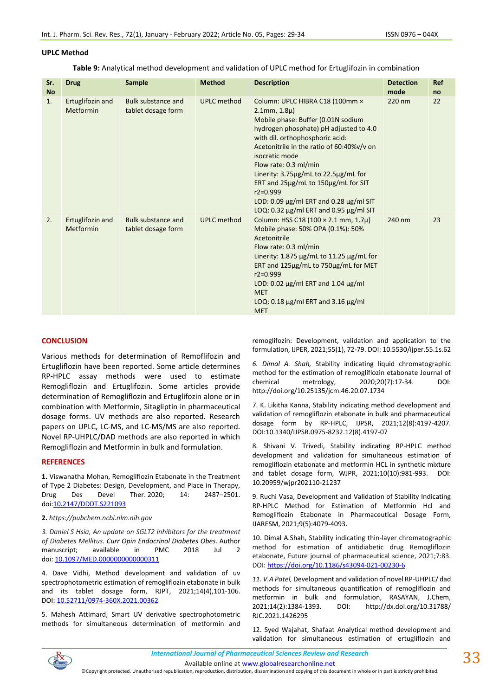## **UPLC Method**

**Table 9:** Analytical method development and validation of UPLC method for Ertuglifozin in combination

| Sr.<br><b>No</b> | <b>Drug</b>                   | <b>Sample</b>                                   | <b>Method</b>      | <b>Description</b>                                                                                                                                                                                                                                                                                                                                                                                                                                                        | <b>Detection</b><br>mode | Ref<br>no |
|------------------|-------------------------------|-------------------------------------------------|--------------------|---------------------------------------------------------------------------------------------------------------------------------------------------------------------------------------------------------------------------------------------------------------------------------------------------------------------------------------------------------------------------------------------------------------------------------------------------------------------------|--------------------------|-----------|
| 1.               | Ertuglifozin and<br>Metformin | <b>Bulk substance and</b><br>tablet dosage form | <b>UPLC</b> method | Column: UPLC HIBRA C18 (100mm ×<br>$2.1$ mm, $1.8\mu$ )<br>Mobile phase: Buffer (0.01N sodium<br>hydrogen phosphate) pH adjusted to 4.0<br>with dil. orthophosphoric acid:<br>Acetonitrile in the ratio of 60:40%v/v on<br>isocratic mode<br>Flow rate: 0.3 ml/min<br>Linerity: 3.75µg/mL to 22.5µg/mL for<br>ERT and 25µg/mL to 150µg/mL for SIT<br>$r2 = 0.999$<br>LOD: 0.09 $\mu$ g/ml ERT and 0.28 $\mu$ g/ml SIT<br>LOQ: 0.32 $\mu$ g/ml ERT and 0.95 $\mu$ g/ml SIT | 220 nm                   | 22        |
| 2.               | Ertuglifozin and<br>Metformin | <b>Bulk substance and</b><br>tablet dosage form | <b>UPLC</b> method | Column: HSS C18 (100 × 2.1 mm, 1.7µ)<br>Mobile phase: 50% OPA (0.1%): 50%<br>Acetonitrile<br>Flow rate: 0.3 ml/min<br>Linerity: $1.875 \mu g/mL$ to $11.25 \mu g/mL$ for<br>ERT and 125µg/mL to 750µg/mL for MET<br>$r2 = 0.999$<br>LOD: 0.02 $\mu$ g/ml ERT and 1.04 $\mu$ g/ml<br><b>MET</b><br>LOQ: 0.18 $\mu$ g/ml ERT and 3.16 $\mu$ g/ml<br><b>MET</b>                                                                                                              | 240 nm                   | 23        |

## **CONCLUSION**

Various methods for determination of Remoflifozin and Ertugliflozin have been reported. Some article determines RP-HPLC assay methods were used to estimate Remogliflozin and Ertuglifozin. Some articles provide determination of Remogliflozin and Ertuglifozin alone or in combination with Metformin, Sitagliptin in pharmaceutical dosage forms. UV methods are also reported. Research papers on UPLC, LC-MS, and LC-MS/MS are also reported. Novel RP-UHPLC/DAD methods are also reported in which Remogliflozin and Metformin in bulk and formulation.

### **REFERENCES**

**1.** Viswanatha Mohan, Remogliflozin Etabonate in the Treatment of Type 2 Diabetes: Design, Development, and Place in Therapy, Drug Des Devel Ther. 2020; 14: 2487–2501. doi[:10.2147/DDDT.S221093](https://dx.doi.org/10.2147%2FDDDT.S221093)

### **2.** *https://pubchem.ncbi.nlm.nih.gov*

*3. Daniel S Hsia, An update on SGLT2 inhibitors for the treatment of Diabetes Mellitus. [Curr Opin Endocrinol Diabetes Obes.](https://www.ncbi.nlm.nih.gov/pmc/articles/PMC6028052/)* Author manuscript; available in PMC 2018 Jul 2 doi: [10.1097/MED.0000000000000311](https://dx.doi.org/10.1097%2FMED.0000000000000311)

4. Dave Vidhi, Method development and validation of uv spectrophotometric estimation of remogliflozin etabonate in bulk and its tablet dosage form, RJPT, 2021;14(4),101-106. DOI: [10.52711/0974-360X.2021.00362](https://doi.org/10.52711/0974-360X.2021.00362)

5. Mahesh Attimard, Smart UV derivative spectrophotometric methods for simultaneous determination of metformin and remoglifozin: Development, validation and application to the formulation, IJPER, 2021;55(1), 72-79. DOI: 10.5530/ijper.55.1s.62

*6. Dimal A. Shah,* Stability indicating liquid chromatographic method for the estimation of remogliflozin etabonate Journal of chemical metrology, 2020;20(7):17-34. DOI: http://doi.org/10.25135/jcm.46.20.07.1734

7. K. Likitha Kanna, Stability indicating method development and validation of remogliflozin etabonate in bulk and pharmaceutical dosage form by RP-HPLC, IJPSR, 2021;12(8):4197-4207. DOI:10.1340/IJPSR.0975-8232.12(8).4197-07

8. Shivani V. Trivedi, Stability indicating RP-HPLC method development and validation for simultaneous estimation of remogliflozin etabonate and metformin HCL in synthetic mixture and tablet dosage form, WJPR, 2021;10(10):981-993. DOI: 10.20959/wjpr202110-21237

9. Ruchi Vasa, Development and Validation of Stability Indicating RP-HPLC Method for Estimation of Metformin Hcl and Remogliflozin Etabonate in Pharmaceutical Dosage Form, IJARESM, 2021;9(5):4079-4093.

10. Dimal A.Shah, Stability indicating thin-layer chromatographic method for estimation of antidiabetic drug Remogliflozin etabonate, Future journal of pharmaceutical science, 2021;7:83. DOI[: https://doi.org/10.1186/s43094-021-00230-6](https://doi.org/10.1186/s43094-021-00230-6)

*11. V.A Patel,* Development and validation of novel RP-UHPLC/ dad methods for simultaneous quantification of remogliflozin and metformin in bulk and formulation, RASAYAN, J.Chem, 2021;14(2):1384-1393. DOI: http://dx.doi.org/10.31788/ RJC.2021.1426295

12. Syed Wajahat, Shafaat Analytical method development and validation for simultaneous estimation of ertugliflozin and



Available online a[t www.globalresearchonline.net](http://www.globalresearchonline.net/)